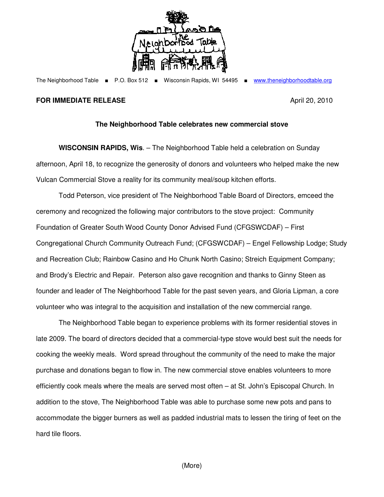

The Neighborhood Table ■ P.O. Box 512 ■ Wisconsin Rapids, WI 54495 ■ www.theneighborhoodtable.org

## **FOR IMMEDIATE RELEASE April 20, 2010**

## **The Neighborhood Table celebrates new commercial stove**

**WISCONSIN RAPIDS, Wis**. – The Neighborhood Table held a celebration on Sunday afternoon, April 18, to recognize the generosity of donors and volunteers who helped make the new Vulcan Commercial Stove a reality for its community meal/soup kitchen efforts.

 Todd Peterson, vice president of The Neighborhood Table Board of Directors, emceed the ceremony and recognized the following major contributors to the stove project: Community Foundation of Greater South Wood County Donor Advised Fund (CFGSWCDAF) – First Congregational Church Community Outreach Fund; (CFGSWCDAF) – Engel Fellowship Lodge; Study and Recreation Club; Rainbow Casino and Ho Chunk North Casino; Streich Equipment Company; and Brody's Electric and Repair. Peterson also gave recognition and thanks to Ginny Steen as founder and leader of The Neighborhood Table for the past seven years, and Gloria Lipman, a core volunteer who was integral to the acquisition and installation of the new commercial range.

The Neighborhood Table began to experience problems with its former residential stoves in late 2009. The board of directors decided that a commercial-type stove would best suit the needs for cooking the weekly meals. Word spread throughout the community of the need to make the major purchase and donations began to flow in. The new commercial stove enables volunteers to more efficiently cook meals where the meals are served most often – at St. John's Episcopal Church. In addition to the stove, The Neighborhood Table was able to purchase some new pots and pans to accommodate the bigger burners as well as padded industrial mats to lessen the tiring of feet on the hard tile floors.